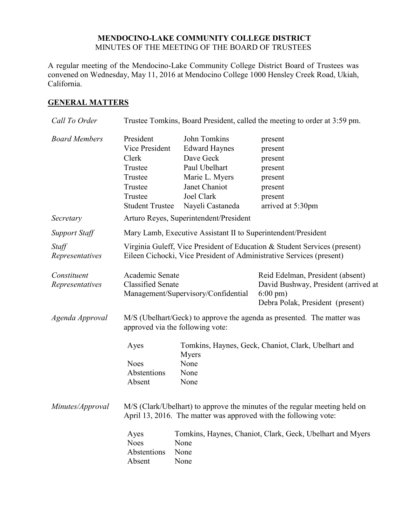### **MENDOCINO-LAKE COMMUNITY COLLEGE DISTRICT** MINUTES OF THE MEETING OF THE BOARD OF TRUSTEES

A regular meeting of the Mendocino-Lake Community College District Board of Trustees was convened on Wednesday, May 11, 2016 at Mendocino College 1000 Hensley Creek Road, Ukiah, California.

## **GENERAL MATTERS**

| Call To Order                  | Trustee Tomkins, Board President, called the meeting to order at 3:59 pm.                                                                         |                                                                                                                                         |                                                                                                                                     |  |
|--------------------------------|---------------------------------------------------------------------------------------------------------------------------------------------------|-----------------------------------------------------------------------------------------------------------------------------------------|-------------------------------------------------------------------------------------------------------------------------------------|--|
| <b>Board Members</b>           | President<br>Vice President<br>Clerk<br>Trustee<br>Trustee<br>Trustee<br>Trustee<br><b>Student Trustee</b>                                        | John Tomkins<br><b>Edward Haynes</b><br>Dave Geck<br>Paul Ubelhart<br>Marie L. Myers<br>Janet Chaniot<br>Joel Clark<br>Nayeli Castaneda | present<br>present<br>present<br>present<br>present<br>present<br>present<br>arrived at 5:30pm                                      |  |
| Secretary                      |                                                                                                                                                   | Arturo Reyes, Superintendent/President                                                                                                  |                                                                                                                                     |  |
| <b>Support Staff</b>           | Mary Lamb, Executive Assistant II to Superintendent/President                                                                                     |                                                                                                                                         |                                                                                                                                     |  |
| Staff<br>Representatives       | Virginia Guleff, Vice President of Education & Student Services (present)<br>Eileen Cichocki, Vice President of Administrative Services (present) |                                                                                                                                         |                                                                                                                                     |  |
| Constituent<br>Representatives | Academic Senate<br><b>Classified Senate</b>                                                                                                       | Management/Supervisory/Confidential                                                                                                     | Reid Edelman, President (absent)<br>David Bushway, President (arrived at<br>$6:00 \text{ pm}$ )<br>Debra Polak, President (present) |  |
| Agenda Approval                | M/S (Ubelhart/Geck) to approve the agenda as presented. The matter was<br>approved via the following vote:                                        |                                                                                                                                         |                                                                                                                                     |  |
|                                | Ayes<br><b>Noes</b><br>Abstentions<br>Absent                                                                                                      | Myers<br>None<br>None<br>None                                                                                                           | Tomkins, Haynes, Geck, Chaniot, Clark, Ubelhart and                                                                                 |  |
| Minutes/Approval               | M/S (Clark/Ubelhart) to approve the minutes of the regular meeting held on<br>April 13, 2016. The matter was approved with the following vote:    |                                                                                                                                         |                                                                                                                                     |  |
|                                | Ayes<br><b>Noes</b><br>Abstentions<br>Absent                                                                                                      | None<br>None<br>None                                                                                                                    | Tomkins, Haynes, Chaniot, Clark, Geck, Ubelhart and Myers                                                                           |  |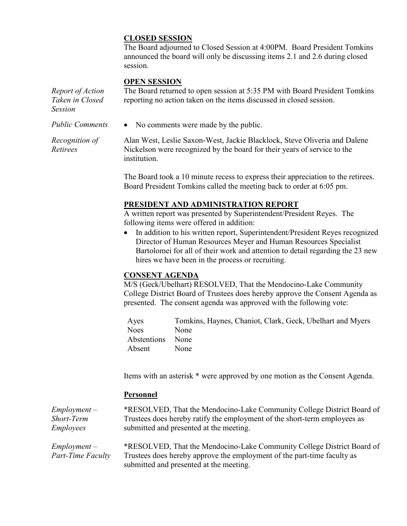## **CLOSED SESSION**

The Board adjourned to Closed Session at 4:00PM. Board President Tomkins announced the board will only be discussing items 2.1 and 2.6 during closed session.

#### **OPEN SESSION**

*Retirees*

*Report of Action Taken in Closed Session* The Board returned to open session at 5:35 PM with Board President Tomkins reporting no action taken on the items discussed in closed session. *Public Comments* • No comments were made by the public. *Recognition of*  Alan West, Leslie Saxon-West, Jackie Blacklock, Steve Oliveria and Dalene

Nickelson were recognized by the board for their years of service to the institution.

The Board took a 10 minute recess to express their appreciation to the retirees. Board President Tomkins called the meeting back to order at 6:05 pm.

### **PRESIDENT AND ADMINISTRATION REPORT**

A written report was presented by Superintendent/President Reyes. The following items were offered in addition:

 In addition to his written report, Superintendent/President Reyes recognized Director of Human Resources Meyer and Human Resources Specialist Bartolomei for all of their work and attention to detail regarding the 23 new hires we have been in the process or recruiting.

## **CONSENT AGENDA**

M/S (Geck/Ubelhart) RESOLVED, That the Mendocino-Lake Community College District Board of Trustees does hereby approve the Consent Agenda as presented. The consent agenda was approved with the following vote:

Ayes Tomkins, Haynes, Chaniot, Clark, Geck, Ubelhart and Myers Noes None Abstentions None Absent None

Items with an asterisk \* were approved by one motion as the Consent Agenda.

### **Personnel**

| $Employment -$                             | *RESOLVED, That the Mendocino-Lake Community College District Board of                                                                                                                       |
|--------------------------------------------|----------------------------------------------------------------------------------------------------------------------------------------------------------------------------------------------|
| Short-Term                                 | Trustees does hereby ratify the employment of the short-term employees as                                                                                                                    |
| <i>Employees</i>                           | submitted and presented at the meeting.                                                                                                                                                      |
| $Employment -$<br><b>Part-Time Faculty</b> | *RESOLVED, That the Mendocino-Lake Community College District Board of<br>Trustees does hereby approve the employment of the part-time faculty as<br>submitted and presented at the meeting. |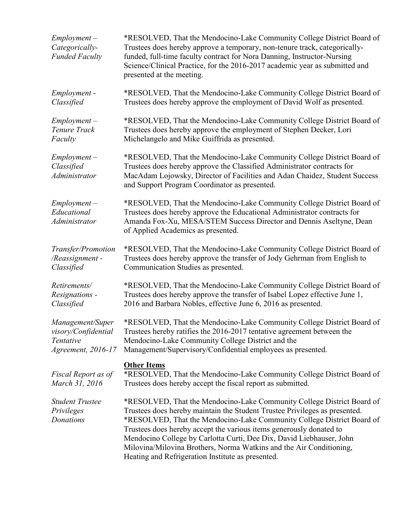| $Employment -$<br>Categorically-<br><b>Funded Faculty</b> | *RESOLVED, That the Mendocino-Lake Community College District Board of<br>Trustees does hereby approve a temporary, non-tenure track, categorically-<br>funded, full-time faculty contract for Nora Danning, Instructor-Nursing<br>Science/Clinical Practice, for the 2016-2017 academic year as submitted and<br>presented at the meeting.                                                                                                                                                               |  |  |
|-----------------------------------------------------------|-----------------------------------------------------------------------------------------------------------------------------------------------------------------------------------------------------------------------------------------------------------------------------------------------------------------------------------------------------------------------------------------------------------------------------------------------------------------------------------------------------------|--|--|
| Employment -                                              | *RESOLVED, That the Mendocino-Lake Community College District Board of                                                                                                                                                                                                                                                                                                                                                                                                                                    |  |  |
| Classified                                                | Trustees does hereby approve the employment of David Wolf as presented.                                                                                                                                                                                                                                                                                                                                                                                                                                   |  |  |
| $Employment -$                                            | *RESOLVED, That the Mendocino-Lake Community College District Board of                                                                                                                                                                                                                                                                                                                                                                                                                                    |  |  |
| Tenure Track                                              | Trustees does hereby approve the employment of Stephen Decker, Lori                                                                                                                                                                                                                                                                                                                                                                                                                                       |  |  |
| Faculty                                                   | Michelangelo and Mike Guiffrida as presented.                                                                                                                                                                                                                                                                                                                                                                                                                                                             |  |  |
| $Employment -$<br>Classified<br>Administrator             | *RESOLVED, That the Mendocino-Lake Community College District Board of<br>Trustees does hereby approve the Classified Administrator contracts for<br>MacAdam Lojowsky, Director of Facilities and Adan Chaidez, Student Success<br>and Support Program Coordinator as presented.                                                                                                                                                                                                                          |  |  |
| $Employment -$<br>Educational<br>Administrator            | *RESOLVED, That the Mendocino-Lake Community College District Board of<br>Trustees does hereby approve the Educational Administrator contracts for<br>Amanda Fox-Xu, MESA/STEM Success Director and Dennis Aseltyne, Dean<br>of Applied Academics as presented.                                                                                                                                                                                                                                           |  |  |
| Transfer/Promotion                                        | *RESOLVED, That the Mendocino-Lake Community College District Board of                                                                                                                                                                                                                                                                                                                                                                                                                                    |  |  |
| /Reassignment-                                            | Trustees does hereby approve the transfer of Jody Gehrman from English to                                                                                                                                                                                                                                                                                                                                                                                                                                 |  |  |
| Classified                                                | Communication Studies as presented.                                                                                                                                                                                                                                                                                                                                                                                                                                                                       |  |  |
| Retirements/                                              | *RESOLVED, That the Mendocino-Lake Community College District Board of                                                                                                                                                                                                                                                                                                                                                                                                                                    |  |  |
| Resignations -                                            | Trustees does hereby approve the transfer of Isabel Lopez effective June 1,                                                                                                                                                                                                                                                                                                                                                                                                                               |  |  |
| Classified                                                | 2016 and Barbara Nobles, effective June 6, 2016 as presented.                                                                                                                                                                                                                                                                                                                                                                                                                                             |  |  |
| Management/Super                                          | *RESOLVED, That the Mendocino-Lake Community College District Board of                                                                                                                                                                                                                                                                                                                                                                                                                                    |  |  |
| visory/Confidential                                       | Trustees hereby ratifies the 2016-2017 tentative agreement between the                                                                                                                                                                                                                                                                                                                                                                                                                                    |  |  |
| Tentative                                                 | Mendocino-Lake Community College District and the                                                                                                                                                                                                                                                                                                                                                                                                                                                         |  |  |
| Agreement, 2016-17                                        | Management/Supervisory/Confidential employees as presented.                                                                                                                                                                                                                                                                                                                                                                                                                                               |  |  |
| Fiscal Report as of<br>March 31, 2016                     | <b>Other Items</b><br>*RESOLVED, That the Mendocino-Lake Community College District Board of<br>Trustees does hereby accept the fiscal report as submitted.                                                                                                                                                                                                                                                                                                                                               |  |  |
| <b>Student Trustee</b><br>Privileges<br>Donations         | *RESOLVED, That the Mendocino-Lake Community College District Board of<br>Trustees does hereby maintain the Student Trustee Privileges as presented.<br>*RESOLVED, That the Mendocino-Lake Community College District Board of<br>Trustees does hereby accept the various items generously donated to<br>Mendocino College by Carlotta Curti, Dee Dix, David Liebhauser, John<br>Milovina/Milovina Brothers, Norma Watkins and the Air Conditioning,<br>Heating and Refrigeration Institute as presented. |  |  |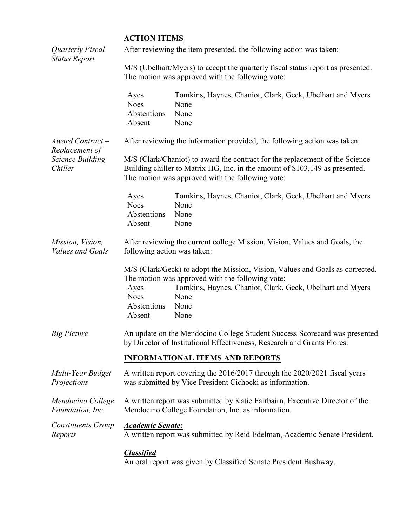# **ACTION ITEMS**

| Quarterly Fiscal<br><b>Status Report</b>    | After reviewing the item presented, the following action was taken:                                                                                                                                              |                                                                                                                                                                                                                        |  |  |
|---------------------------------------------|------------------------------------------------------------------------------------------------------------------------------------------------------------------------------------------------------------------|------------------------------------------------------------------------------------------------------------------------------------------------------------------------------------------------------------------------|--|--|
|                                             | M/S (Ubelhart/Myers) to accept the quarterly fiscal status report as presented.<br>The motion was approved with the following vote:                                                                              |                                                                                                                                                                                                                        |  |  |
|                                             | Ayes<br><b>Noes</b><br>Abstentions<br>Absent                                                                                                                                                                     | Tomkins, Haynes, Chaniot, Clark, Geck, Ubelhart and Myers<br>None<br>None<br>None                                                                                                                                      |  |  |
| $Award$ Contract $-$<br>Replacement of      |                                                                                                                                                                                                                  | After reviewing the information provided, the following action was taken:                                                                                                                                              |  |  |
| <b>Science Building</b><br>Chiller          | M/S (Clark/Chaniot) to award the contract for the replacement of the Science<br>Building chiller to Matrix HG, Inc. in the amount of \$103,149 as presented.<br>The motion was approved with the following vote: |                                                                                                                                                                                                                        |  |  |
|                                             | Ayes<br><b>Noes</b><br>Abstentions<br>Absent                                                                                                                                                                     | Tomkins, Haynes, Chaniot, Clark, Geck, Ubelhart and Myers<br>None<br>None<br>None                                                                                                                                      |  |  |
| Mission, Vision,<br><b>Values and Goals</b> | After reviewing the current college Mission, Vision, Values and Goals, the<br>following action was taken:                                                                                                        |                                                                                                                                                                                                                        |  |  |
|                                             | Ayes<br><b>Noes</b><br>Abstentions<br>Absent                                                                                                                                                                     | M/S (Clark/Geck) to adopt the Mission, Vision, Values and Goals as corrected.<br>The motion was approved with the following vote:<br>Tomkins, Haynes, Chaniot, Clark, Geck, Ubelhart and Myers<br>None<br>None<br>None |  |  |
| <b>Big Picture</b>                          | An update on the Mendocino College Student Success Scorecard was presented<br>by Director of Institutional Effectiveness, Research and Grants Flores.                                                            |                                                                                                                                                                                                                        |  |  |
|                                             | <b>INFORMATIONAL ITEMS AND REPORTS</b>                                                                                                                                                                           |                                                                                                                                                                                                                        |  |  |
| Multi-Year Budget<br>Projections            | A written report covering the 2016/2017 through the 2020/2021 fiscal years<br>was submitted by Vice President Cichocki as information.                                                                           |                                                                                                                                                                                                                        |  |  |
| Mendocino College<br>Foundation, Inc.       | A written report was submitted by Katie Fairbairn, Executive Director of the<br>Mendocino College Foundation, Inc. as information.                                                                               |                                                                                                                                                                                                                        |  |  |
| Constituents Group<br>Reports               | <b>Academic Senate:</b>                                                                                                                                                                                          | A written report was submitted by Reid Edelman, Academic Senate President.                                                                                                                                             |  |  |
|                                             | <b>Classified</b>                                                                                                                                                                                                |                                                                                                                                                                                                                        |  |  |

An oral report was given by Classified Senate President Bushway.